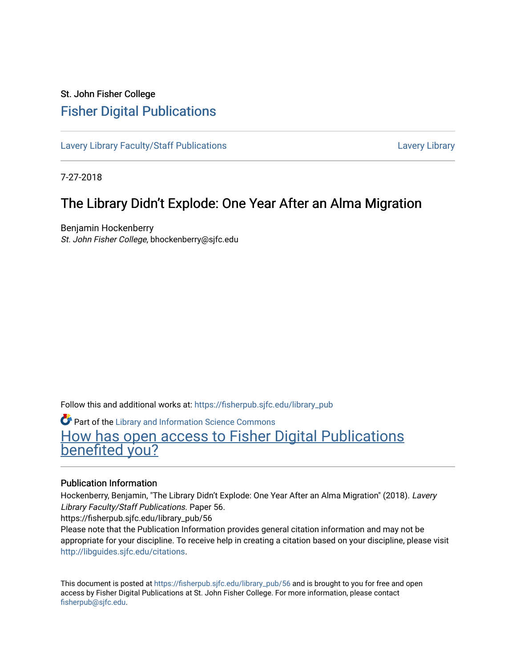### St. John Fisher College [Fisher Digital Publications](https://fisherpub.sjfc.edu/)

[Lavery Library Faculty/Staff Publications](https://fisherpub.sjfc.edu/library_pub) **Latter Controllery Library Library** Lavery Library

7-27-2018

### The Library Didn't Explode: One Year After an Alma Migration

Benjamin Hockenberry St. John Fisher College, bhockenberry@sjfc.edu

Follow this and additional works at: [https://fisherpub.sjfc.edu/library\\_pub](https://fisherpub.sjfc.edu/library_pub?utm_source=fisherpub.sjfc.edu%2Flibrary_pub%2F56&utm_medium=PDF&utm_campaign=PDFCoverPages)

Part of the [Library and Information Science Commons](http://network.bepress.com/hgg/discipline/1018?utm_source=fisherpub.sjfc.edu%2Flibrary_pub%2F56&utm_medium=PDF&utm_campaign=PDFCoverPages)  [How has open access to Fisher Digital Publications](https://docs.google.com/forms/d/14zrnDfH9d1wcdq8oG_-gFabAsxfcH5claltx85ZWyTg/viewform?entry.1394608989=https://fisherpub.sjfc.edu/library_pub/56%3Chttps://docs.google.com/forms/d/14zrnDfH9d1wcdq8oG_-gFabAsxfcH5claltx85ZWyTg/viewform?entry.1394608989=%7bhttps://fisherpub.sjfc.edu/library_pub/56%7d) [benefited you?](https://docs.google.com/forms/d/14zrnDfH9d1wcdq8oG_-gFabAsxfcH5claltx85ZWyTg/viewform?entry.1394608989=https://fisherpub.sjfc.edu/library_pub/56%3Chttps://docs.google.com/forms/d/14zrnDfH9d1wcdq8oG_-gFabAsxfcH5claltx85ZWyTg/viewform?entry.1394608989=%7bhttps://fisherpub.sjfc.edu/library_pub/56%7d)

#### Publication Information

Hockenberry, Benjamin, "The Library Didn't Explode: One Year After an Alma Migration" (2018). Lavery Library Faculty/Staff Publications. Paper 56.

https://fisherpub.sjfc.edu/library\_pub/56

Please note that the Publication Information provides general citation information and may not be appropriate for your discipline. To receive help in creating a citation based on your discipline, please visit [http://libguides.sjfc.edu/citations.](http://libguides.sjfc.edu/citations)

This document is posted at [https://fisherpub.sjfc.edu/library\\_pub/56](https://fisherpub.sjfc.edu/library_pub/56) and is brought to you for free and open access by Fisher Digital Publications at St. John Fisher College. For more information, please contact [fisherpub@sjfc.edu](mailto:fisherpub@sjfc.edu).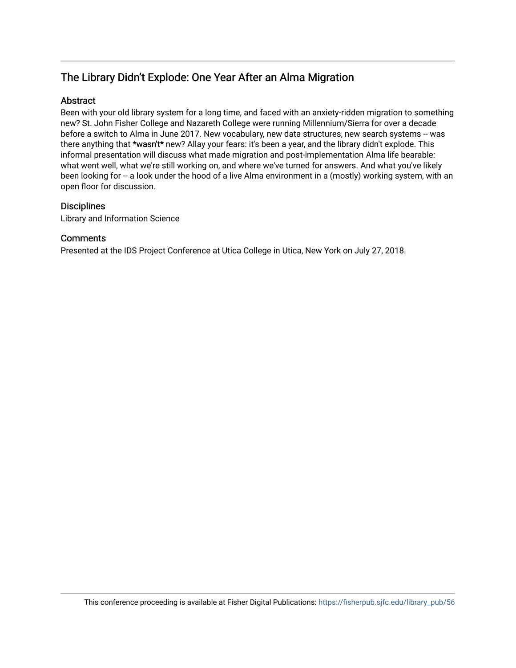### The Library Didn't Explode: One Year After an Alma Migration

#### Abstract

Been with your old library system for a long time, and faced with an anxiety-ridden migration to something new? St. John Fisher College and Nazareth College were running Millennium/Sierra for over a decade before a switch to Alma in June 2017. New vocabulary, new data structures, new search systems -- was there anything that \*wasn't\* new? Allay your fears: it's been a year, and the library didn't explode. This informal presentation will discuss what made migration and post-implementation Alma life bearable: what went well, what we're still working on, and where we've turned for answers. And what you've likely been looking for -- a look under the hood of a live Alma environment in a (mostly) working system, with an open floor for discussion.

### **Disciplines**

Library and Information Science

#### **Comments**

Presented at the IDS Project Conference at Utica College in Utica, New York on July 27, 2018.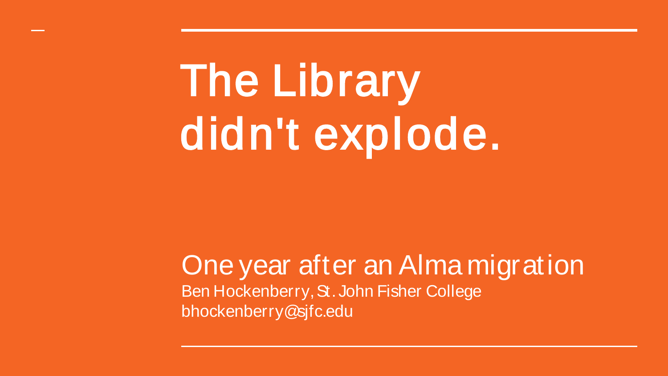## The Library didn't explode.

One year after an Alma migration Ben Hockenberry, St. John Fisher College bhockenberry@sjfc.edu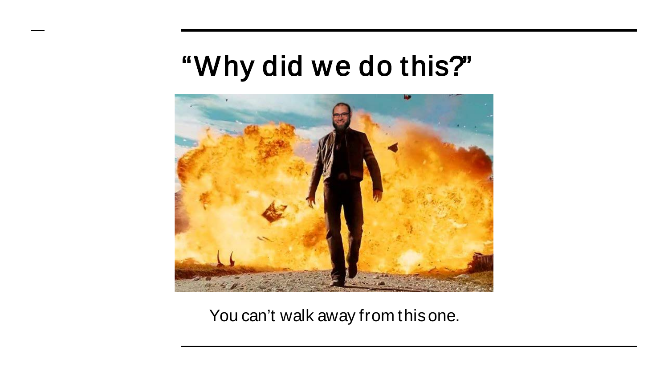### "Why did we do this?"



You can't walk away from this one.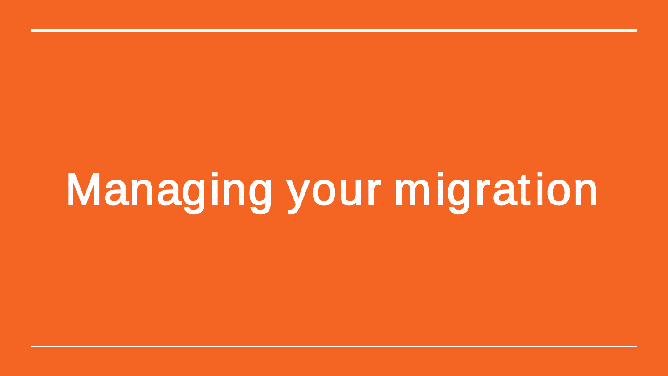# Managing your migration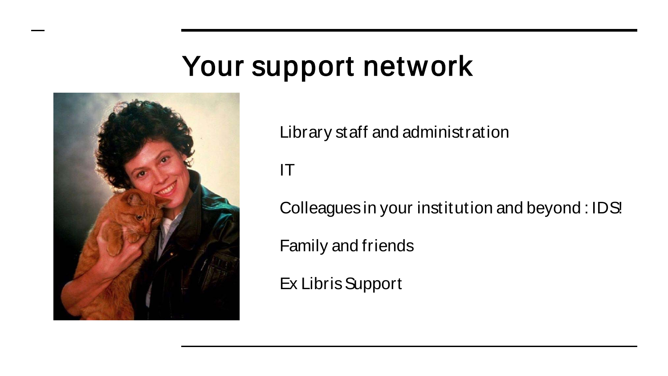## Your support network



Library staff and administration

IT

Colleagues in your institution and beyond : IDS!

Family and friends

Ex Libris Support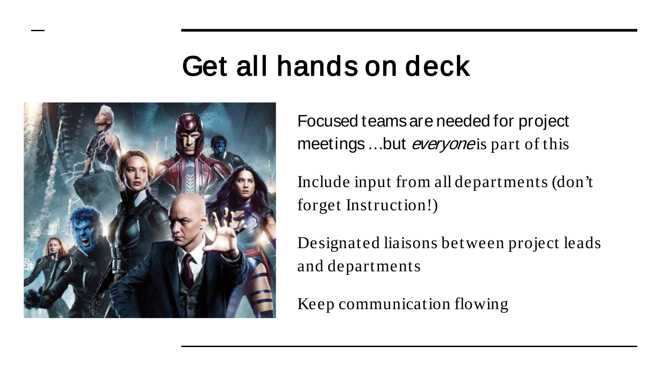## Get all hands on deck



Focused teams are needed for project meetings...but *everyone* is part of this

Include input from all departments (don't forget Instruction!)

Designated liaisons between project leads and departments

Keep communication flowing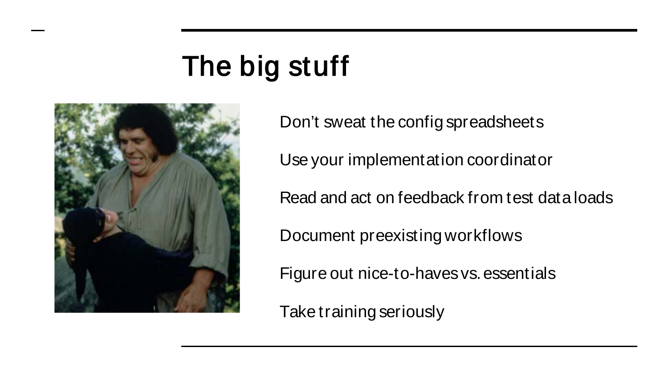## The big stuff



Don't sweat the config spreadsheets Use your implementation coordinator Read and act on feedback from test data loads Document preexisting workflows Figure out nice-to-haves vs. essentials

Take training seriously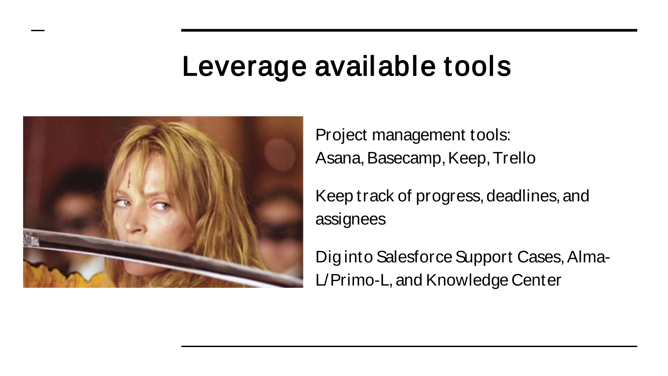### Leverage available tools



Project management tools: Asana, Basecamp, Keep, Trello

Keep track of progress, deadlines, and assignees

Dig into Salesforce Support Cases, Alma-L/Primo-L, and Knowledge Center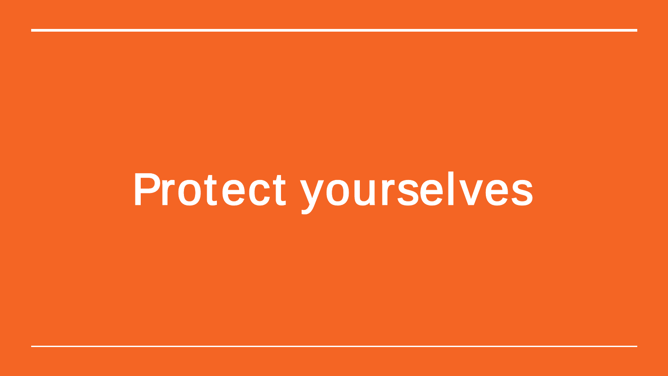# Protect yourselves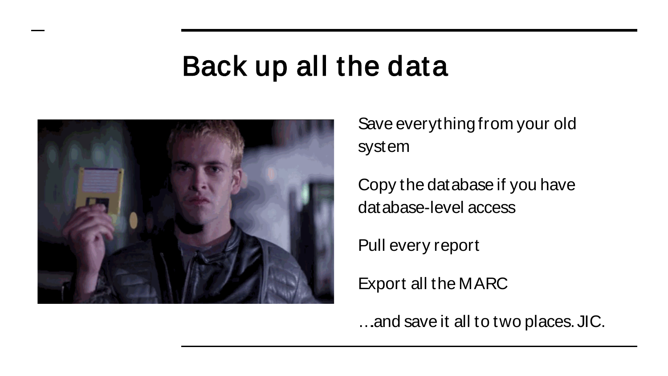### Back up all the data



Save everything from your old system

Copy the database if you have database-level access

Pull every report

Export all the MARC

….and save it all to two places. JIC.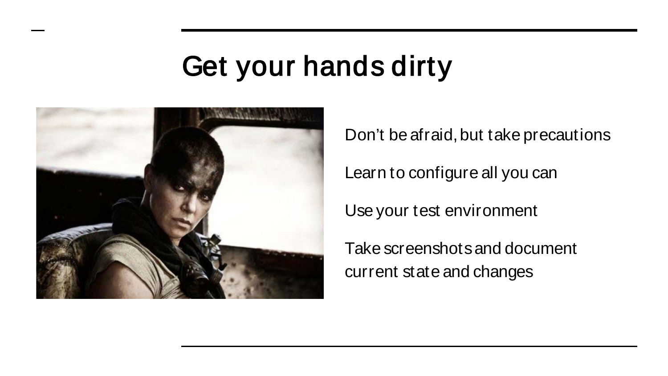## Get your hands dirty



Don't be afraid, but take precautions

Learn to configure all you can

Use your test environment

Take screenshots and document current state and changes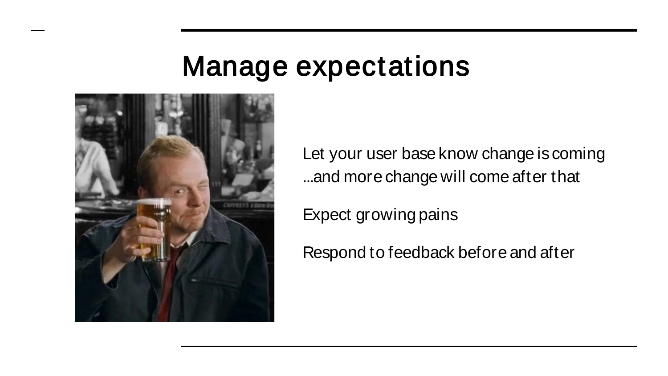### Manage expectations



Let your user base know change is coming ...and more change will come after that

Expect growing pains

Respond to feedback before and after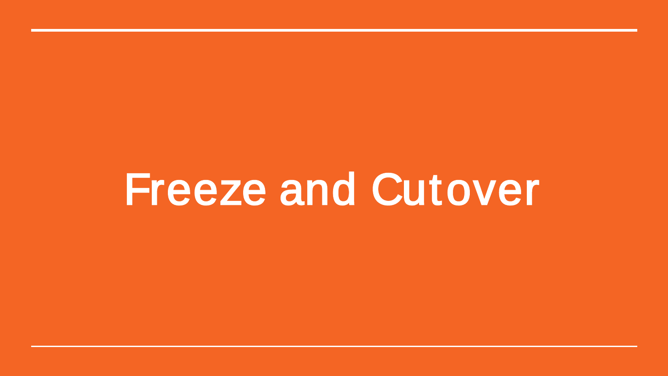## Freeze and Cutover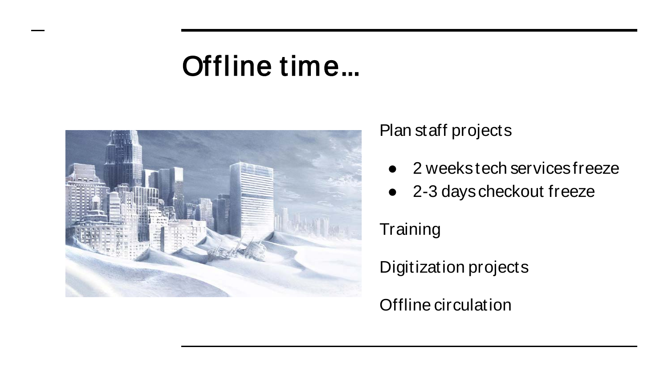## Offline time...



Plan staff projects

- 2 weeks tech services freeze
- 2-3 days checkout freeze

**Training** 

Digitization projects

Offline circulation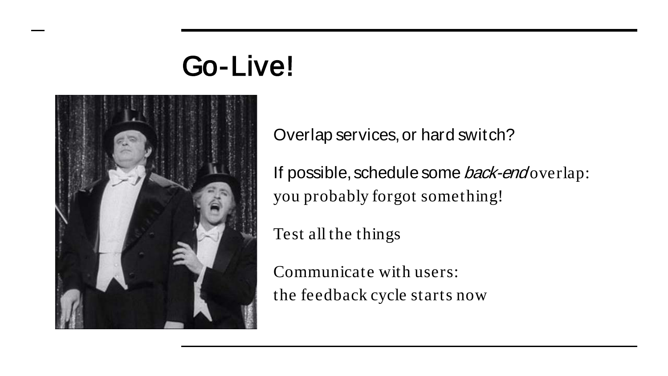## Go-Live!



Overlap services, or hard switch?

If possible, schedule some *back-end* overlap: you probably forgot something!

Test all the things

Communicate with users: the feedback cycle starts now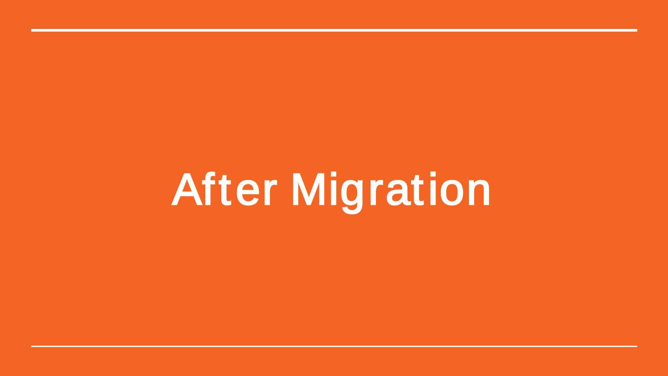After Migration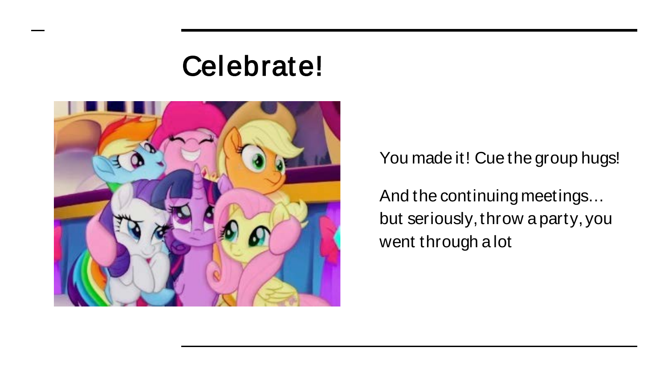### Celebrate!



You made it! Cue the group hugs!

And the continuing meetings… but seriously, throw a party, you went through a lot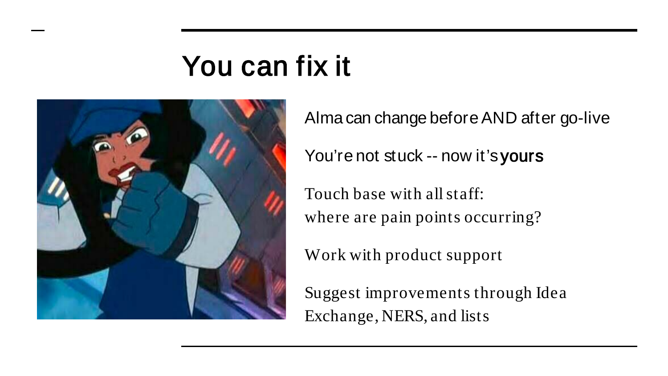## You can fix it

![](_page_18_Picture_1.jpeg)

Alma can change before AND after go-live You're not stuck -- now it's yours Touch base with all staff: where are pain points occurring?

Work with product support

Suggest improvements through Idea Exchange, NERS, and lists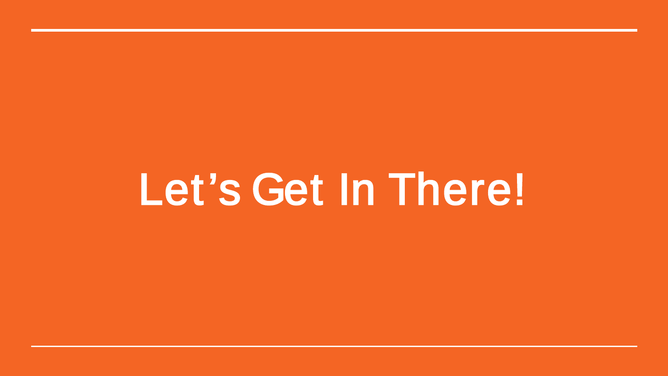## Let's Get In There!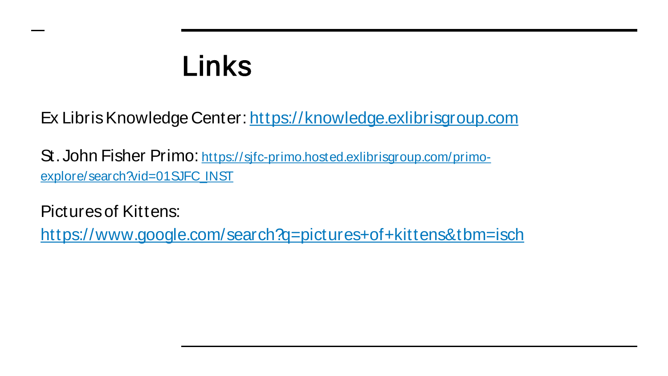## Links

Ex Libris Knowledge Center:<https://knowledge.exlibrisgroup.com>

[St. John Fisher Primo: https://sjfc-primo.hosted.exlibrisgroup.com/primo](https://sjfc-primo.hosted.exlibrisgroup.com/primo-explore/search?vid=01SJFC_INST)explore/search?vid=01SJFC\_INST

Pictures of Kittens:

<https://www.google.com/search?q=pictures+of+kittens&tbm=isch>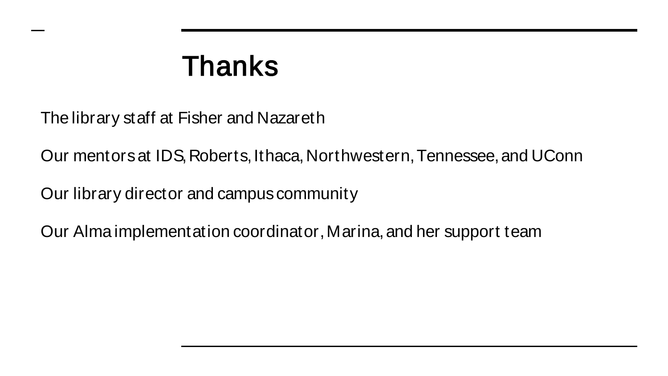### Thanks

The library staff at Fisher and Nazareth

Our mentors at IDS, Roberts, Ithaca, Northwestern, Tennessee, and UConn

Our library director and campus community

Our Alma implementation coordinator, Marina, and her support team